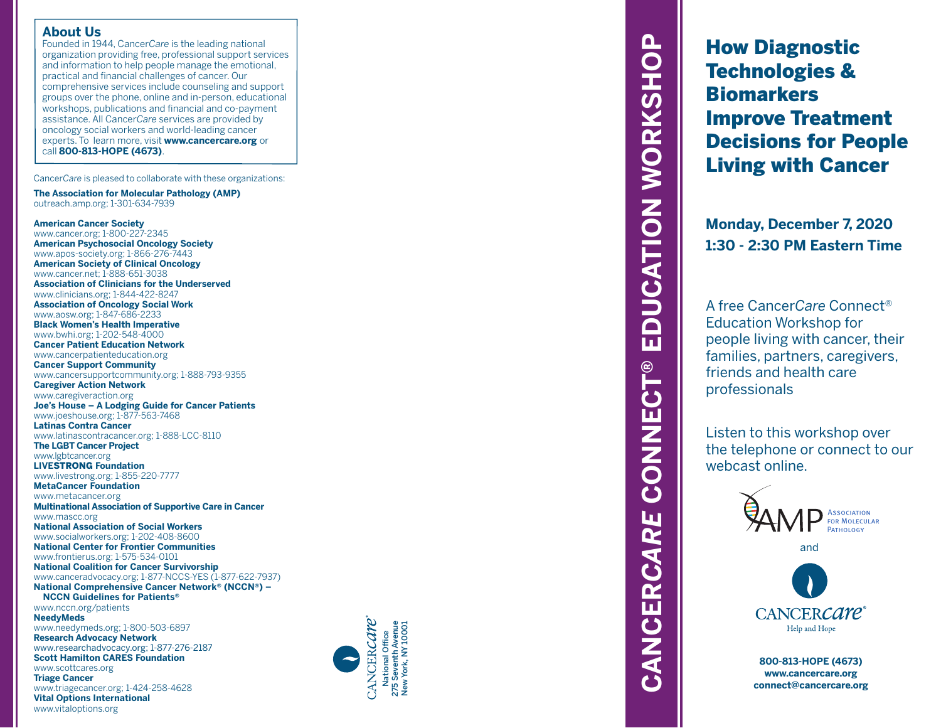# **About Us**

Founded in 1944, Cancer*Care* is the leading national organization providing free, professional support services and information to help people manage the emotional, practical and financial challenges of cancer. Our comprehensive services include counseling and support groups over the phone, online and in-person, educational workshops, publications and financial and co-payment assistance. All Cancer*Care* services are provided by oncology social workers and world-leading cancer experts. To learn more, visit **www.cancercare.org** or call **800-813-HOPE (4673)** .

Cancer*Care* is pleased to collaborate with these organizations:

**The Association for Molecular Pathology (AMP)** outreach.amp.org; 1-301-634-7939

**American Cancer Society** www.cancer.org; 1-800-227-2345 **American Psychosocial Oncology Society** www.apos-society.org; 1-866-276-7443 **American Society of Clinical Oncology** www.cancer.net; 1-888-651-3038 **Association of Clinicians for the Underserved** www.clinicians.org; 1-844-422-8247 **Association of Oncology Social Work** www.aosw.org; 1-847-686-2233 **Black Women's Health Imperative** www.bwhi.org; 1-202-548-4000 **Cancer Patient Education Network** www.cancerpatienteducation.org **Cancer Support Community** www.cancersupportcommunity.org; 1-888-793-9355 **Caregiver Action Network** www.caregiveraction.org **Joe's House – A Lodging Guide for Cancer Patients** www.joeshouse.org; 1-877-563-7468 **Latinas Contra Cancer** www.latinascontracancer.org; 1-888-LCC-8110 **The LGBT Cancer Project** www.lgbtcancer.org **LIVE**STRONG **Foundation** www.livestrong.org; 1-855-220-7777 **MetaCancer Foundation** www.metacancer.org **Multinational Association of Supportive Care in Cancer** www.mascc.org **National Association of Social Workers** www.socialworkers.org; 1-202-408-8600 **National Center for Frontier Communities** www.frontierus.org; 1-575-534-0101 **National Coalition for Cancer Survivorship** www.canceradvocacy.org; 1-877-NCCS-YES (1-877-622-7937) **National Comprehensive Cancer Network ® (NCCN ®) – NCCN Guidelines for Patients ®** www.nccn.org/patients

**NeedyMeds**

www.needymeds.org; 1-800-503-6897 **Research Advocacy Network** www.researchadvocacy.org; 1-877-276-2187

**Scott Hamilton CARES Foundation** www.scottcares.org

**Triage Cancer**

www.triagecancer.org; 1-424-258-4628 **Vital Options International** www.vitaloptions.org



# EDUCATION WORKSHOP **CANCER***CARE* **CONNECT® EDUCATION WORKSHOP CONNECT®** CANCERCARE

How Diagnostic Technologies & **Biomarkers** Improve Treatment Decisions for People Living with Cancer

**Monday, December 7, 2020 1:30 - 2:30 PM Eastern Time**

A free Cancer*Care* Connect ® Education Workshop for people living with cancer, their families, partners, caregivers, friends and health care professionals

Listen to this workshop over the telephone or connect to our webcast online.



**800-813-HOPE (4673) www.cancercare.org connect@cancercare.org**